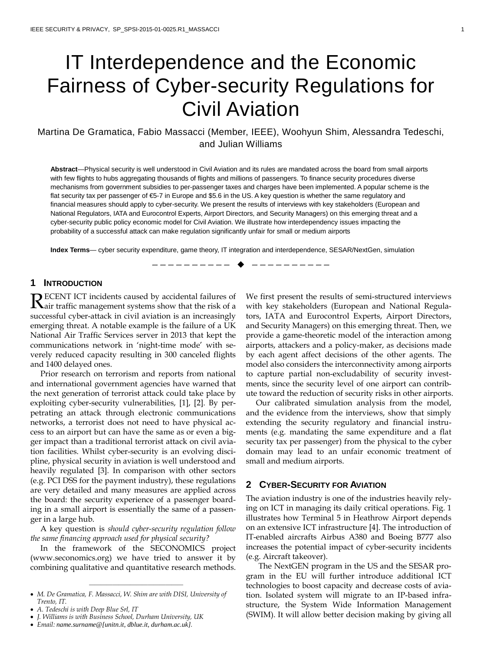# IT Interdependence and the Economic Fairness of Cyber-security Regulations for Civil Aviation

# Martina De Gramatica, Fabio Massacci (Member, IEEE), Woohyun Shim, Alessandra Tedeschi, and Julian Williams

**Abstract**—Physical security is well understood in Civil Aviation and its rules are mandated across the board from small airports with few flights to hubs aggregating thousands of flights and millions of passengers. To finance security procedures diverse mechanisms from government subsidies to per-passenger taxes and charges have been implemented. A popular scheme is the flat security tax per passenger of €5-7 in Europe and \$5.6 in the US. A key question is whether the same regulatory and financial measures should apply to cyber-security. We present the results of interviews with key stakeholders (European and National Regulators, IATA and Eurocontrol Experts, Airport Directors, and Security Managers) on this emerging threat and a cyber-security public policy economic model for Civil Aviation. We illustrate how interdependency issues impacting the probability of a successful attack can make regulation significantly unfair for small or medium airports

**Index Terms**— cyber security expenditure, game theory, IT integration and interdependence, SESAR/NextGen, simulation

—————————— ——————————

# **1 INTRODUCTION**

**DECENT ICT incidents caused by accidental failures of**  ${\displaystyle {\bf R}}$ ECENT ICT incidents caused by accidental failures of a star traffic management systems show that the risk of a successful cyber-attack in civil aviation is an increasingly emerging threat. A notable example is the failure of a UK National Air Traffic Services server in 2013 that kept the communications network in 'night-time mode' with severely reduced capacity resulting in 300 canceled flights and 1400 delayed ones.

Prior research on terrorism and reports from national and international government agencies have warned that the next generation of terrorist attack could take place by exploiting cyber-security vulnerabilities, [1], [2]. By perpetrating an attack through electronic communications networks, a terrorist does not need to have physical access to an airport but can have the same as or even a bigger impact than a traditional terrorist attack on civil aviation facilities. Whilst cyber-security is an evolving discipline, physical security in aviation is well understood and heavily regulated [3]. In comparison with other sectors (e.g. PCI DSS for the payment industry), these regulations are very detailed and many measures are applied across the board: the security experience of a passenger boarding in a small airport is essentially the same of a passenger in a large hub.

A key question is *should cyber-security regulation follow the same financing approach used for physical security?*

In the framework of the SECONOMICS project (www.seconomics.org) we have tried to answer it by combining qualitative and quantitative research methods.

————————————————

• *A. Tedeschi is with Deep Blue Srl, IT*

We first present the results of semi-structured interviews with key stakeholders (European and National Regulators, IATA and Eurocontrol Experts, Airport Directors, and Security Managers) on this emerging threat. Then, we provide a game-theoretic model of the interaction among airports, attackers and a policy-maker, as decisions made by each agent affect decisions of the other agents. The model also considers the interconnectivity among airports to capture partial non-excludability of security investments, since the security level of one airport can contribute toward the reduction of security risks in other airports.

Our calibrated simulation analysis from the model, and the evidence from the interviews, show that simply extending the security regulatory and financial instruments (e.g. mandating the same expenditure and a flat security tax per passenger) from the physical to the cyber domain may lead to an unfair economic treatment of small and medium airports.

### **2 CYBER-SECURITY FOR AVIATION**

The aviation industry is one of the industries heavily relying on ICT in managing its daily critical operations. Fig. 1 illustrates how Terminal 5 in Heathrow Airport depends on an extensive ICT infrastructure [4]. The introduction of IT-enabled aircrafts Airbus A380 and Boeing B777 also increases the potential impact of cyber-security incidents (e.g. Aircraft takeover).

The NextGEN program in the US and the SESAR program in the EU will further introduce additional ICT technologies to boost capacity and decrease costs of aviation. Isolated system will migrate to an IP-based infrastructure, the System Wide Information Management (SWIM). It will allow better decision making by giving all

<sup>•</sup> *M. De Gramatica, F. Massacci, W. Shim are with DISI, University of Trento, IT.*

<sup>•</sup> *J. Williams is with Business School, Durham University, UK*

<sup>•</sup> *Email: name.surname@[unitn.it, dblue.it, durham.ac.uk].*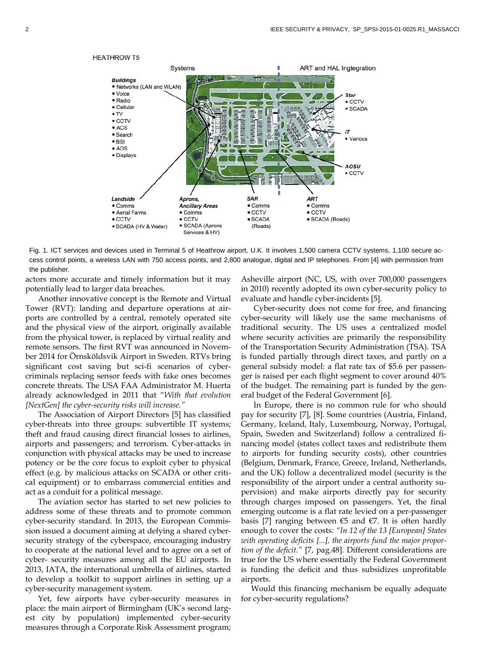

Fig. 1. ICT services and devices used in Terminal 5 of Heathrow airport, U.K. It involves 1,500 camera CCTV systems, 1,100 secure access control points, a wireless LAN with 750 access points, and 2,800 analogue, digital and IP telephones. From [4] with permission from the publisher.

actors more accurate and timely information but it may potentially lead to larger data breaches.

Another innovative concept is the Remote and Virtual Tower (RVT): landing and departure operations at airports are controlled by a central, remotely operated site and the physical view of the airport, originally available from the physical tower, is replaced by virtual reality and remote sensors. The first RVT was announced in November 2014 for Örnsköldsvik Airport in Sweden. RTVs bring significant cost saving but sci-fi scenarios of cybercriminals replacing sensor feeds with fake ones becomes concrete threats. The USA FAA Administrator M. Huerta already acknowledged in 2011 that "*With that evolution [NextGen] the cyber-security risks will increase."*

The Association of Airport Directors [5] has classified cyber-threats into three groups: subvertible IT systems; theft and fraud causing direct financial losses to airlines, airports and passengers; and terrorism. Cyber-attacks in conjunction with physical attacks may be used to increase potency or be the core focus to exploit cyber to physical effect (e.g. by malicious attacks on SCADA or other critical equipment) or to embarrass commercial entities and act as a conduit for a political message.

The aviation sector has started to set new policies to address some of these threats and to promote common cyber-security standard. In 2013, the European Commission issued a document aiming at defying a shared cybersecurity strategy of the cyberspace, encouraging industry to cooperate at the national level and to agree on a set of cyber- security measures among all the EU airports. In 2013, IATA, the international umbrella of airlines, started to develop a toolkit to support airlines in setting up a cyber-security management system.

Yet, few airports have cyber-security measures in place: the main airport of Birmingham (UK's second largest city by population) implemented cyber-security measures through a Corporate Risk Assessment program;

Asheville airport (NC, US, with over 700,000 passengers in 2010) recently adopted its own cyber-security policy to evaluate and handle cyber-incidents [5].

Cyber-security does not come for free, and financing cyber-security will likely use the same mechanisms of traditional security. The US uses a centralized model where security activities are primarily the responsibility of the Transportation Security Administration (TSA). TSA is funded partially through direct taxes, and partly on a general subsidy model: a flat rate tax of \$5.6 per passenger is raised per each flight segment to cover around 40% of the budget. The remaining part is funded by the general budget of the Federal Government [6].

In Europe, there is no common rule for who should pay for security [7], [8]. Some countries (Austria, Finland, Germany, Iceland, Italy, Luxembourg, Norway, Portugal, Spain, Sweden and Switzerland) follow a centralized financing model (states collect taxes and redistribute them to airports for funding security costs), other countries (Belgium, Denmark, France, Greece, Ireland, Netherlands, and the UK) follow a decentralized model (security is the responsibility of the airport under a central authority supervision) and make airports directly pay for security through charges imposed on passengers. Yet, the final emerging outcome is a flat rate levied on a per-passenger basis [7] ranging between  $€5$  and  $€7$ . It is often hardly enough to cover the costs: *"In 12 of the 13 [European] States with operating deficits [...], the airports fund the major proportion of the deficit."* [7, pag.48]. Different considerations are true for the US where essentially the Federal Government is funding the deficit and thus subsidizes unprofitable airports.

Would this financing mechanism be equally adequate for cyber-security regulations?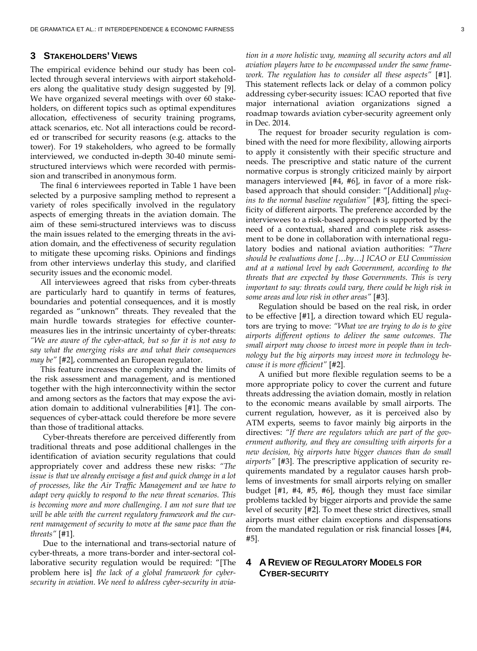## **3 STAKEHOLDERS' VIEWS**

The empirical evidence behind our study has been collected through several interviews with airport stakeholders along the qualitative study design suggested by [9]. We have organized several meetings with over 60 stakeholders, on different topics such as optimal expenditures allocation, effectiveness of security training programs, attack scenarios, etc. Not all interactions could be recorded or transcribed for security reasons (e.g. attacks to the tower). For 19 stakeholders, who agreed to be formally interviewed, we conducted in-depth 30-40 minute semistructured interviews which were recorded with permission and transcribed in anonymous form.

The final 6 interviewees reported in Table 1 have been selected by a purposive sampling method to represent a variety of roles specifically involved in the regulatory aspects of emerging threats in the aviation domain. The aim of these semi-structured interviews was to discuss the main issues related to the emerging threats in the aviation domain, and the effectiveness of security regulation to mitigate these upcoming risks. Opinions and findings from other interviews underlay this study, and clarified security issues and the economic model.

All interviewees agreed that risks from cyber-threats are particularly hard to quantify in terms of features, boundaries and potential consequences, and it is mostly regarded as "unknown" threats. They revealed that the main hurdle towards strategies for effective countermeasures lies in the intrinsic uncertainty of cyber-threats: *"We are aware of the cyber-attack, but so far it is not easy to say what the emerging risks are and what their consequences may be"* [#2], commented an European regulator.

This feature increases the complexity and the limits of the risk assessment and management, and is mentioned together with the high interconnectivity within the sector and among sectors as the factors that may expose the aviation domain to additional vulnerabilities [#1]. The consequences of cyber-attack could therefore be more severe than those of traditional attacks.

Cyber-threats therefore are perceived differently from traditional threats and pose additional challenges in the identification of aviation security regulations that could appropriately cover and address these new risks: *"The issue is that we already envisage a fast and quick change in a lot of processes, like the Air Traffic Management and we have to adapt very quickly to respond to the new threat scenarios. This is becoming more and more challenging. I am not sure that we will be able with the current regulatory framework and the current management of security to move at the same pace than the threats"* [#1].

Due to the international and trans-sectorial nature of cyber-threats, a more trans-border and inter-sectoral collaborative security regulation would be required: "[The problem here is] *the lack of a global framework for cybersecurity in aviation. We need to address cyber-security in avia-* *tion in a more holistic way, meaning all security actors and all aviation players have to be encompassed under the same framework. The regulation has to consider all these aspects"* [#1]. This statement reflects lack or delay of a common policy addressing cyber-security issues: ICAO reported that five major international aviation organizations signed a roadmap towards aviation cyber-security agreement only in Dec. 2014.

The request for broader security regulation is combined with the need for more flexibility, allowing airports to apply it consistently with their specific structure and needs. The prescriptive and static nature of the current normative corpus is strongly criticized mainly by airport managers interviewed [#4, #6], in favor of a more riskbased approach that should consider: "[Additional] *plugins to the normal baseline regulation"* [#3], fitting the specificity of different airports. The preference accorded by the interviewees to a risk-based approach is supported by the need of a contextual, shared and complete risk assessment to be done in collaboration with international regulatory bodies and national aviation authorities: "*There should be evaluations done […by…] ICAO or EU Commission and at a national level by each Government, according to the threats that are expected by those Governments. This is very important to say: threats could vary, there could be high risk in some areas and low risk in other areas"* [#3].

Regulation should be based on the real risk, in order to be effective [#1], a direction toward which EU regulators are trying to move: *"What we are trying to do is to give airports different options to deliver the same outcomes. The small airport may choose to invest more in people than in technology but the big airports may invest more in technology because it is more efficient"* [#2].

A unified but more flexible regulation seems to be a more appropriate policy to cover the current and future threats addressing the aviation domain, mostly in relation to the economic means available by small airports. The current regulation, however, as it is perceived also by ATM experts, seems to favor mainly big airports in the directives: *"If there are regulators which are part of the government authority, and they are consulting with airports for a new decision, big airports have bigger chances than do small airports"* [#3]. The prescriptive application of security requirements mandated by a regulator causes harsh problems of investments for small airports relying on smaller budget [#1, #4, #5, #6], though they must face similar problems tackled by bigger airports and provide the same level of security [#2]. To meet these strict directives, small airports must either claim exceptions and dispensations from the mandated regulation or risk financial losses [#4, #5].

## **4 A REVIEW OF REGULATORY MODELS FOR CYBER-SECURITY**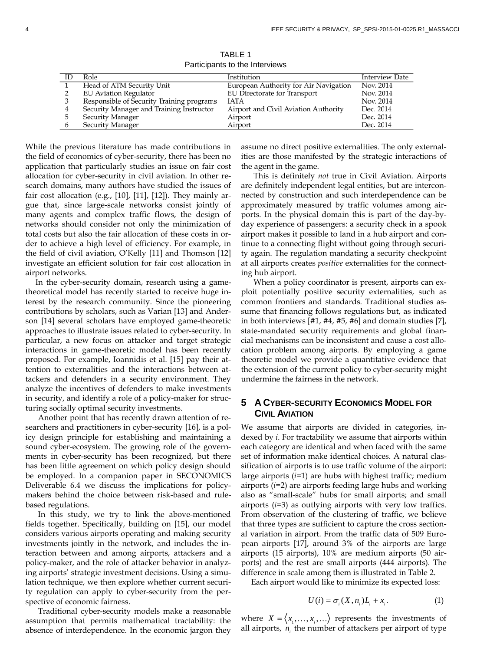|    |                                           | <b>Lation and the filter victor</b>   |                       |
|----|-------------------------------------------|---------------------------------------|-----------------------|
| ID | Role                                      | Institution                           | <b>Interview Date</b> |
|    | Head of ATM Security Unit                 | European Authority for Air Navigation | Nov. 2014             |
|    | <b>EU</b> Aviation Regulator              | <b>EU Directorate for Transport</b>   | Nov. 2014             |
|    | Responsible of Security Training programs | <b>IATA</b>                           | Nov. 2014             |
| 4  | Security Manager and Training Instructor  | Airport and Civil Aviation Authority  | Dec. 2014             |
| 5. | Security Manager                          | Airport                               | Dec. 2014             |
| 6. | Security Manager                          | Airport                               | Dec. 2014             |

TABLE 1 Participants to the Interviews

While the previous literature has made contributions in the field of economics of cyber-security, there has been no application that particularly studies an issue on fair cost allocation for cyber-security in civil aviation. In other research domains, many authors have studied the issues of fair cost allocation (e.g.,  $[10]$ ,  $[11]$ ,  $[12]$ ). They mainly argue that, since large-scale networks consist jointly of many agents and complex traffic flows, the design of networks should consider not only the minimization of total costs but also the fair allocation of these costs in order to achieve a high level of efficiency. For example, in the field of civil aviation, O'Kelly [11] and Thomson [12] investigate an efficient solution for fair cost allocation in airport networks.

In the cyber-security domain, research using a gametheoretical model has recently started to receive huge interest by the research community. Since the pioneering contributions by scholars, such as Varian [13] and Anderson [14] several scholars have employed game-theoretic approaches to illustrate issues related to cyber-security. In particular, a new focus on attacker and target strategic interactions in game-theoretic model has been recently proposed. For example, Ioannidis et al. [15] pay their attention to externalities and the interactions between attackers and defenders in a security environment. They analyze the incentives of defenders to make investments in security, and identify a role of a policy-maker for structuring socially optimal security investments.

Another point that has recently drawn attention of researchers and practitioners in cyber-security [16], is a policy design principle for establishing and maintaining a sound cyber-ecosystem. The growing role of the governments in cyber-security has been recognized, but there has been little agreement on which policy design should be employed. In a companion paper in SECONOMICS Deliverable 6.4 we discuss the implications for policymakers behind the choice between risk-based and rulebased regulations.

In this study, we try to link the above-mentioned fields together. Specifically, building on [15], our model considers various airports operating and making security investments jointly in the network, and includes the interaction between and among airports, attackers and a policy-maker, and the role of attacker behavior in analyzing airports' strategic investment decisions. Using a simulation technique, we then explore whether current security regulation can apply to cyber-security from the perspective of economic fairness.

Traditional cyber-security models make a reasonable assumption that permits mathematical tractability: the absence of interdependence. In the economic jargon they assume no direct positive externalities. The only externalities are those manifested by the strategic interactions of the agent in the game.

This is definitely *not* true in Civil Aviation. Airports are definitely independent legal entities, but are interconnected by construction and such interdependence can be approximately measured by traffic volumes among airports. In the physical domain this is part of the day-byday experience of passengers: a security check in a spook airport makes it possible to land in a hub airport and continue to a connecting flight without going through security again. The regulation mandating a security checkpoint at all airports creates *positive* externalities for the connecting hub airport.

When a policy coordinator is present, airports can exploit potentially positive security externalities, such as common frontiers and standards. Traditional studies assume that financing follows regulations but, as indicated in both interviews [#1, #4, #5, #6] and domain studies [7], state-mandated security requirements and global financial mechanisms can be inconsistent and cause a cost allocation problem among airports. By employing a game theoretic model we provide a quantitative evidence that the extension of the current policy to cyber-security might undermine the fairness in the network.

## **5 A CYBER-SECURITY ECONOMICS MODEL FOR CIVIL AVIATION**

We assume that airports are divided in categories, indexed by *i*. For tractability we assume that airports within each category are identical and when faced with the same set of information make identical choices. A natural classification of airports is to use traffic volume of the airport: large airports (*i*=1) are hubs with highest traffic; medium airports (*i*=2) are airports feeding large hubs and working also as "small-scale" hubs for small airports; and small airports (*i*=3) as outlying airports with very low traffics. From observation of the clustering of traffic, we believe that three types are sufficient to capture the cross sectional variation in airport. From the traffic data of 509 European airports [17], around 3% of the airports are large airports (15 airports), 10% are medium airports (50 airports) and the rest are small airports (444 airports). The difference in scale among them is illustrated in Table 2.

Each airport would like to minimize its expected loss:

$$
U(i) = \sigma_i(X, n_i)L_i + x_i.
$$
 (1)

where  $X = \langle x_1, \ldots, x_i, \ldots \rangle$  represents the investments of all airports, *<sup>i</sup> n* the number of attackers per airport of type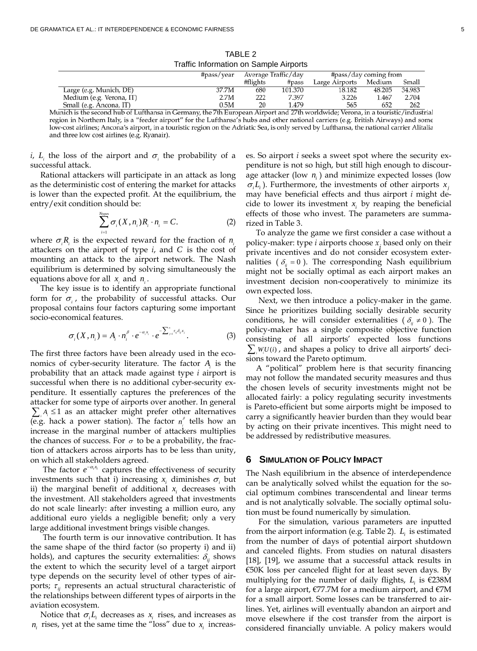|                                                                                                                               | #pass/year |          | Average Traffic/day |                | #pass/day coming from |        |
|-------------------------------------------------------------------------------------------------------------------------------|------------|----------|---------------------|----------------|-----------------------|--------|
|                                                                                                                               |            | #flights | #pass               | Large Airports | Medium                | Small  |
| Large (e.g. Munich, DE)                                                                                                       | 37.7M      | 680      | 101.370             | 18.182         | 48.205                | 34.983 |
| Medium (e.g. Verona, IT)                                                                                                      | 2.7M       | 222      | 7.397               | 3.226          | 1.467                 | 2.704  |
| Small (e.g. Ancona, IT)                                                                                                       | 0.5M       | 20       | 1.479               | 565            | 652                   | 262    |
| unich is the second bub of Luftbanes in Cormany the 7th European Airport and 27th worldwide: Verone, in a touristic (industri |            |          |                     |                |                       |        |

TABLE 2 Traffic Information on Sample Airports

Munich is the second hub of Lufthansa in Germany, the 7th European Airport and 27th worldwide; Verona, in a touristic/industrial region in Northern Italy, is a "feeder airport" for the Lufthansa's hubs and other national carriers (e.g. British Airways) and some low-cost airlines; Ancona's airport, in a touristic region on the Adriatic Sea, is only served by Lufthansa, the national carrier Alitalia and three low cost airlines (e.g. Ryanair).

*i*, *L* the loss of the airport and  $\sigma$  the probability of a successful attack.

Rational attackers will participate in an attack as long as the deterministic cost of entering the market for attacks is lower than the expected profit. At the equilibrium, the entry/exit condition should be:

$$
\sum_{i=1}^{N_{Dpos}} \sigma_i(X, n_i) R_i \cdot n_i = C.
$$
 (2)

where  $\sigma_i R_i$  is the expected reward for the fraction of  $n_i$ attackers on the airport of type *i*, and *C* is the cost of mounting an attack to the airport network. The Nash equilibrium is determined by solving simultaneously the equations above for all  $x_i$  and  $n_i$ .

The key issue is to identify an appropriate functional form for  $\sigma_i$ , the probability of successful attacks. Our proposal contains four factors capturing some important socio-economical features.

$$
\sigma_i(X, n_i) = A_i \cdot n_i^{\beta} \cdot e^{-\alpha_i x_i} \cdot e^{-\sum_{j=1}^{n} \sigma_{ij} \delta_{ij} x_j}.
$$
 (3)

The first three factors have been already used in the economics of cyber-security literature. The factor  $A_i$  is the probability that an attack made against type *i* airport is successful when there is no additional cyber-security expenditure. It essentially captures the preferences of the attacker for some type of airports over another. In general  $\sum_i A_i$  ≤ 1 as an attacker might prefer other alternatives (e.g. hack a power station). The factor  $n_i^{\beta}$  tells how an increase in the marginal number of attackers multiplies the chances of success. For  $\sigma$  to be a probability, the fraction of attackers across airports has to be less than unity, on which all stakeholders agreed.

The factor  $e^{-\alpha_i x_i}$  captures the effectiveness of security investments such that i) increasing  $x_i$  diminishes  $\sigma_i$  but ii) the marginal benefit of additional  $x_i$  decreases with the investment. All stakeholders agreed that investments do not scale linearly: after investing a million euro, any additional euro yields a negligible benefit; only a very large additional investment brings visible changes.

The fourth term is our innovative contribution. It has the same shape of the third factor (so property i) and ii) holds), and captures the security externalities:  $\delta_{ij}$  shows the extent to which the security level of a target airport type depends on the security level of other types of airports;  $\tau_{ii}$  represents an actual structural characteristic of the relationships between different types of airports in the aviation ecosystem.

Notice that  $\sigma_i L_i$  decreases as  $x_i$  rises, and increases as  $n_i$  rises, yet at the same time the "loss" due to  $x_i$  increases. So airport *i* seeks a sweet spot where the security expenditure is not so high, but still high enough to discourage attacker (low *n*<sub>i</sub>) and minimize expected losses (low  $\sigma_i L_i$ ). Furthermore, the investments of other airports  $x_i$ may have beneficial effects and thus airport *i* might decide to lower its investment  $x_i$  by reaping the beneficial effects of those who invest. The parameters are summarized in Table 3.

To analyze the game we first consider a case without a policy-maker: type *i* airports choose  $x_i$  based only on their private incentives and do not consider ecosystem externalities ( $\delta_{ii} = 0$ ). The corresponding Nash equilibrium might not be socially optimal as each airport makes an investment decision non-cooperatively to minimize its own expected loss.

Next, we then introduce a policy-maker in the game. Since he prioritizes building socially desirable security conditions, he will consider externalities ( $\delta_{ij} \neq 0$ ). The policy-maker has a single composite objective function consisting of all airports' expected loss functions  $\sum_{i} W_{i}U(i)$ , and shapes a policy to drive all airports' decisions toward the Pareto optimum.

A "political" problem here is that security financing may not follow the mandated security measures and thus the chosen levels of security investments might not be allocated fairly: a policy regulating security investments is Pareto-efficient but some airports might be imposed to carry a significantly heavier burden than they would bear by acting on their private incentives. This might need to be addressed by redistributive measures.

#### **6 SIMULATION OF POLICY IMPACT**

The Nash equilibrium in the absence of interdependence can be analytically solved whilst the equation for the social optimum combines transcendental and linear terms and is not analytically solvable. The socially optimal solution must be found numerically by simulation.

For the simulation, various parameters are inputted from the airport information (e.g. Table 2). *Li* is estimated from the number of days of potential airport shutdown and canceled flights. From studies on natural disasters [18], [19], we assume that a successful attack results in  $\epsilon$ 50K loss per canceled flight for at least seven days. By multiplying for the number of daily flights,  $L_i$  is  $\epsilon$ 238M for a large airport, €77.7M for a medium airport, and €7M for a small airport. Some losses can be transferred to airlines. Yet, airlines will eventually abandon an airport and move elsewhere if the cost transfer from the airport is considered financially unviable. A policy makers would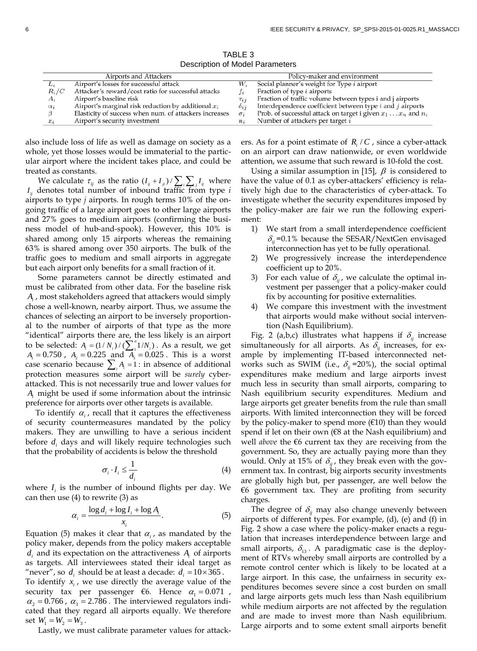TABLE 3 Description of Model Parameters

|            | Airports and Attackers                                 |               | Policy-maker and environment                                            |
|------------|--------------------------------------------------------|---------------|-------------------------------------------------------------------------|
| Li         | Airport's losses for successful attack                 |               | Social planner's weight for Type <i>i</i> airport                       |
| $R_i/C$    | Attacker's reward/cost ratio for successful attacks    |               | Fraction of type <i>i</i> airports                                      |
| Ai         | Airport's baseline risk                                | $\tau_{ii}$   | Fraction of traffic volume between types i and j airports               |
| $\alpha_i$ | Airport's marginal risk reduction by additional $x_i$  | $\delta_{ij}$ | Interdependence coefficient between type $i$ and $j$ airports           |
|            | Elasticity of success when num. of attackers increases |               | Prob. of successful attack on target i given $x_1 \ldots x_n$ and $n_i$ |
| $x_i$      | Airport's security investment                          |               | Number of attackers per target i                                        |

also include loss of life as well as damage on society as a whole, yet those losses would be immaterial to the particular airport where the incident takes place, and could be treated as constants.

We calculate  $\tau_{ij}$  as the ratio  $(I_{ij} + I_{ji}) / \sum_i \sum_j I_{ij}$  where  $I_{ii}$  denotes total number of inbound traffic from type  $i$ airports to type *j* airports. In rough terms 10% of the ongoing traffic of a large airport goes to other large airports and 27% goes to medium airports (confirming the business model of hub-and-spook). However, this 10% is shared among only 15 airports whereas the remaining 63% is shared among over 350 airports. The bulk of the traffic goes to medium and small airports in aggregate but each airport only benefits for a small fraction of it.

Some parameters cannot be directly estimated and must be calibrated from other data. For the baseline risk *Ai* , most stakeholders agreed that attackers would simply chose a well-known, nearby airport. Thus, we assume the chances of selecting an airport to be inversely proportional to the number of airports of that type as the more "identical" airports there are, the less likely is an airport to be selected:  $A_i = (1/N_i) / (\sum_{i=1}^{n} 1/N_i)$ . As a result, we get  $A_1 = 0.750$ ,  $A_2 = 0.225$  and  $\overline{A_3} = 0.025$ . This is a worst case scenario because  $\sum_i A_i = 1$ : in absence of additional protection measures some airport will be *surely* cyberattacked. This is not necessarily true and lower values for *Ai* might be used if some information about the intrinsic preference for airports over other targets is available.

To identify  $\alpha_i$ , recall that it captures the effectiveness of security countermeasures mandated by the policy makers. They are unwilling to have a serious incident before *d*, days and will likely require technologies such that the probability of accidents is below the threshold

$$
\sigma_i \cdot I_i \le \frac{1}{d_i} \tag{4}
$$

where  $I_i$  is the number of inbound flights per day. We can then use (4) to rewrite (3) as

$$
\alpha_i = \frac{\log d_i + \log I_i + \log A_i}{x_i}.\tag{5}
$$

Equation (5) makes it clear that  $\alpha_i$ , as mandated by the policy maker, depends from the policy makers acceptable  $d_i$  and its expectation on the attractiveness  $A_i$  of airports as targets. All interviewees stated their ideal target as "never", so  $d_i$  should be at least a decade:  $d_i = 10 \times 365$ . To identify  $x_i$ , we use directly the average value of the

security tax per passenger  $\epsilon$ 6. Hence  $\alpha_1 = 0.071$ ,  $\alpha_2 = 0.766$ ,  $\alpha_3 = 2.786$ . The interviewed regulators indicated that they regard all airports equally. We therefore set  $W_1 = W_2 = W_3$ .

Lastly, we must calibrate parameter values for attack-

ers. As for a point estimate of  $R / C$ , since a cyber-attack on an airport can draw nationwide, or even worldwide attention, we assume that such reward is 10-fold the cost.

Using a similar assumption in [15],  $\beta$  is considered to have the value of 0.1 as cyber-attackers' efficiency is relatively high due to the characteristics of cyber-attack. To investigate whether the security expenditures imposed by the policy-maker are fair we run the following experiment:

- 1) We start from a small interdependence coefficient  $\delta_{ii}$  =0.1% because the SESAR/NextGen envisaged interconnection has yet to be fully operational.
- 2) We progressively increase the interdependence coefficient up to 20%.
- 3) For each value of  $\delta_{ij}$ , we calculate the optimal investment per passenger that a policy-maker could fix by accounting for positive externalities.
- 4) We compare this investment with the investment that airports would make without social intervention (Nash Equilibrium).

Fig. 2 (a,b,c) illustrates what happens if  $\delta_{ij}$  increase simultaneously for all airports. As  $\delta_{ij}$  increases, for example by implementing IT-based interconnected networks such as SWIM (i.e.,  $\delta_{ii}$ =20%), the social optimal expenditures make medium and large airports invest much less in security than small airports, comparing to Nash equilibrium security expenditures. Medium and large airports get greater benefits from the rule than small airports. With limited interconnection they will be forced by the policy-maker to spend more  $(\epsilon 10)$  than they would spend if let on their own (€8 at the Nash equilibrium) and well *above* the €6 current tax they are receiving from the government. So, they are actually paying more than they would. Only at 15% of  $\delta_{ij}$ , they break even with the government tax. In contrast, big airports security investments are globally high but, per passenger, are well below the €6 government tax. They are profiting from security charges.

The degree of  $\delta_{ij}$  may also change unevenly between airports of different types. For example, (d), (e) and (f) in Fig. 2 show a case where the policy-maker enacts a regulation that increases interdependence between large and small airports,  $\delta_{13}$ . A paradigmatic case is the deployment of RTVs whereby small airports are controlled by a remote control center which is likely to be located at a large airport. In this case, the unfairness in security expenditures becomes severe since a cost burden on small and large airports gets much less than Nash equilibrium while medium airports are not affected by the regulation and are made to invest more than Nash equilibrium. Large airports and to some extent small airports benefit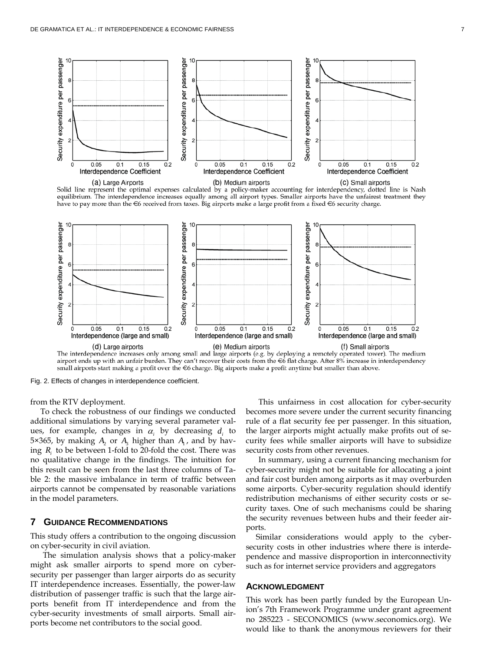

Solid line represent the optimal expenses calculated by a policy-maker accounting for interdependency, dotted line is Nash equilibrium. The interdependence increases equally among all airport types. Smaller airports have the unfairest treatment they have to pay more than the  $\epsilon$ 6 received from taxes. Big airports make a large profit from a fixed  $\epsilon$ 6 security charge.



airport ends up with an unfair burden. They can't recover their costs from the €6 flat charge. After 8% increase in interdependency small airports start making a profit over the €6 charge. Big airports make a profit anytime but smaller than above.

Fig. 2. Effects of changes in interdependence coefficient.

from the RTV deployment.

To check the robustness of our findings we conducted additional simulations by varying several parameter values, for example, changes in  $\alpha_i$  by decreasing  $d_i$  to 5×365, by making  $A_2$  or  $A_3$  higher than  $A_1$ , and by having *Ri* to be between 1-fold to 20-fold the cost. There was no qualitative change in the findings. The intuition for this result can be seen from the last three columns of Table 2: the massive imbalance in term of traffic between airports cannot be compensated by reasonable variations in the model parameters.

#### **7 GUIDANCE RECOMMENDATIONS**

This study offers a contribution to the ongoing discussion on cyber-security in civil aviation.

The simulation analysis shows that a policy-maker might ask smaller airports to spend more on cybersecurity per passenger than larger airports do as security IT interdependence increases. Essentially, the power-law distribution of passenger traffic is such that the large airports benefit from IT interdependence and from the cyber-security investments of small airports. Small airports become net contributors to the social good.

This unfairness in cost allocation for cyber-security becomes more severe under the current security financing rule of a flat security fee per passenger. In this situation, the larger airports might actually make profits out of security fees while smaller airports will have to subsidize security costs from other revenues.

In summary, using a current financing mechanism for cyber-security might not be suitable for allocating a joint and fair cost burden among airports as it may overburden some airports. Cyber-security regulation should identify redistribution mechanisms of either security costs or security taxes. One of such mechanisms could be sharing the security revenues between hubs and their feeder airports.

Similar considerations would apply to the cybersecurity costs in other industries where there is interdependence and massive disproportion in interconnectivity such as for internet service providers and aggregators

#### **ACKNOWLEDGMENT**

This work has been partly funded by the European Union's 7th Framework Programme under grant agreement no 285223 - SECONOMICS (www.seconomics.org). We would like to thank the anonymous reviewers for their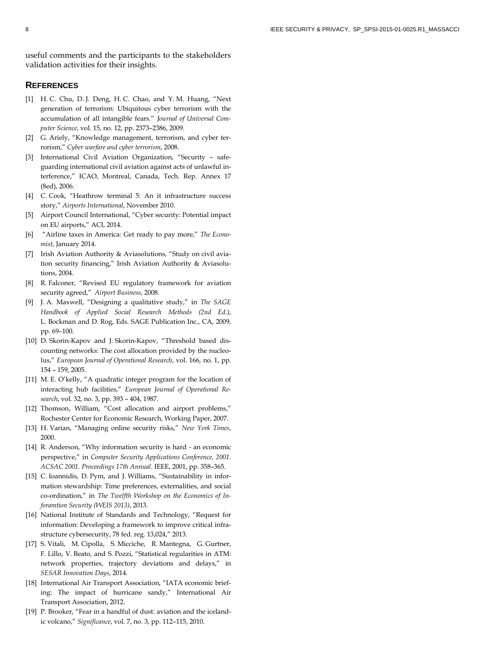useful comments and the participants to the stakeholders validation activities for their insights.

#### **REFERENCES**

- [1] H. C. Chu, D. J. Deng, H. C. Chao, and Y. M. Huang, "Next generation of terrorism: Ubiquitous cyber terrorism with the accumulation of all intangible fears." *Journal of Universal Computer Science*, vol. 15, no. 12, pp. 2373–2386, 2009.
- [2] G. Ariely, "Knowledge management, terrorism, and cyber terrorism," *Cyber warfare and cyber terrorism*, 2008.
- [3] International Civil Aviation Organization, "Security safeguarding international civil aviation against acts of unlawful interference," ICAO, Montreal, Canada, Tech. Rep. Annex 17 (8ed), 2006.
- [4] C. Cook, "Heathrow terminal 5: An it infrastructure success story," *Airports International*, November 2010.
- [5] Airport Council International, "Cyber security: Potential impact on EU airports," ACI, 2014.
- [6] "Airline taxes in America: Get ready to pay more," *The Economist*, January 2014.
- [7] Irish Aviation Authority & Aviasolutions, "Study on civil aviation security financing," Irish Aviation Authority & Aviasolutions, 2004.
- [8] R. Falconer, "Revised EU regulatory framework for aviation security agreed," *Airport Business*, 2008.
- [9] J. A. Maxwell, "Designing a qualitative study," in *The SAGE Handbook of Applied Social Research Methods (2nd Ed.)*, L. Bockman and D. Rog, Eds. SAGE Publication Inc., CA, 2009, pp. 69–100.
- [10] D. Skorin-Kapov and J. Skorin-Kapov, "Threshold based discounting networks: The cost allocation provided by the nucleolus," *European Journal of Operational Research*, vol. 166, no. 1, pp. 154 – 159, 2005.
- [11] M. E. O'kelly, "A quadratic integer program for the location of interacting hub facilities," *European Journal of Operational Research*, vol. 32, no. 3, pp. 393 – 404, 1987.
- [12] Thomson, William, "Cost allocation and airport problems," Rochester Center for Economic Research, Working Paper, 2007.
- [13] H. Varian, "Managing online security risks," *New York Times*, 2000.
- [14] R. Anderson, "Why information security is hard an economic perspective," in *Computer Security Applications Conference, 2001. ACSAC 2001. Proceedings 17th Annual*. IEEE, 2001, pp. 358–365.
- [15] C. Ioannidis, D. Pym, and J. Williams, "Sustainability in information stewardship: Time preferences, externalities, and social co-ordination," in *The Twelfth Workshop on the Economics of Inforamtion Security (WEIS 2013)*, 2013.
- [16] National Institute of Standards and Technology, "Request for information: Developing a framework to improve critical infrastructure cybersecurity, 78 fed. reg. 13,024," 2013.
- [17] S. Vitali, M. Cipolla, S. Micciche, R. Mantegna, G. Gurtner, F. Lillo, V. Beato, and S. Pozzi, "Statistical regularities in ATM: network properties, trajectory deviations and delays," in *SESAR Innovation Days*, 2014.
- [18] International Air Transport Association, "IATA economic briefing: The impact of hurricane sandy," International Air Transport Association, 2012.
- [19] P. Brooker, "Fear in a handful of dust: aviation and the icelandic volcano," *Significance*, vol. 7, no. 3, pp. 112–115, 2010.